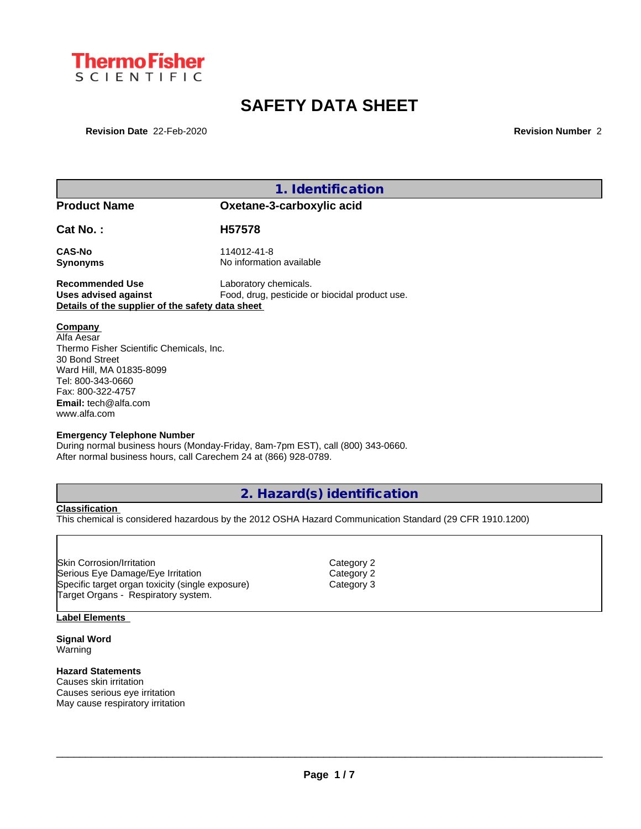

# **SAFETY DATA SHEET**

**Revision Date** 22-Feb-2020 **Revision Number** 2

|  |  | 1. Identification |  |  |  |  |
|--|--|-------------------|--|--|--|--|
|  |  |                   |  |  |  |  |

**Product Name Oxetane-3-carboxylic acid**

**Cat No. : H57578**

**CAS-No** 114012-41-8 **Synonyms** No information available

**Recommended Use** Laboratory chemicals.<br> **Uses advised against** Food, drug, pesticide of Food, drug, pesticide or biocidal product use. **Details of the supplier of the safety data sheet**

**Company** 

Alfa Aesar Thermo Fisher Scientific Chemicals, Inc. 30 Bond Street Ward Hill, MA 01835-8099 Tel: 800-343-0660 Fax: 800-322-4757 **Email:** tech@alfa.com www.alfa.com

#### **Emergency Telephone Number**

During normal business hours (Monday-Friday, 8am-7pm EST), call (800) 343-0660. After normal business hours, call Carechem 24 at (866) 928-0789.

## **2. Hazard(s) identification**

**Classification**

This chemical is considered hazardous by the 2012 OSHA Hazard Communication Standard (29 CFR 1910.1200)

Skin Corrosion/Irritation **Category 2** and Category 2 Serious Eye Damage/Eye Irritation Category 2 Specific target organ toxicity (single exposure) Category 3 Target Organs - Respiratory system.

#### **Label Elements**

**Signal Word** Warning

#### **Hazard Statements**

Causes skin irritation Causes serious eye irritation May cause respiratory irritation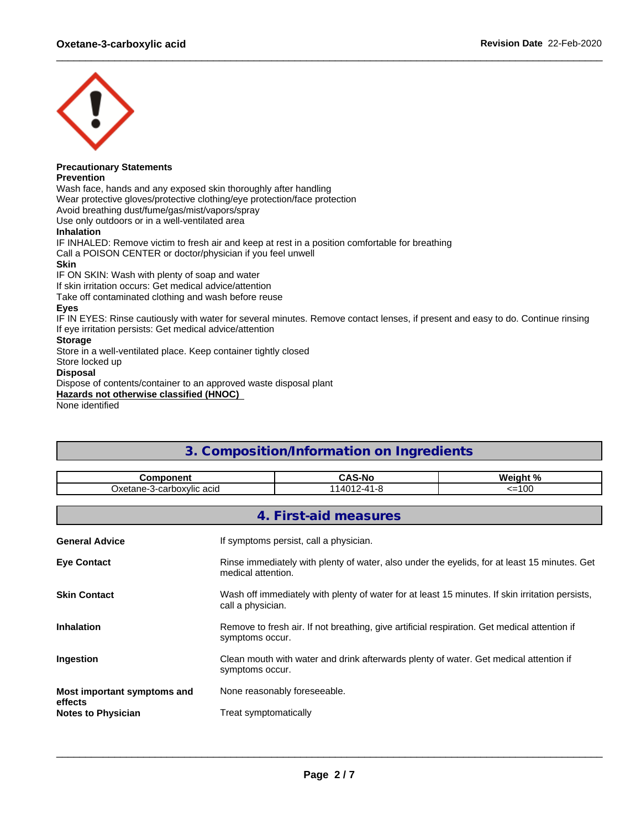

## **Precautionary Statements**

**Prevention**

Wash face, hands and any exposed skin thoroughly after handling

Wear protective gloves/protective clothing/eye protection/face protection

Avoid breathing dust/fume/gas/mist/vapors/spray

Use only outdoors or in a well-ventilated area

#### **Inhalation**

IF INHALED: Remove victim to fresh air and keep at rest in a position comfortable for breathing Call a POISON CENTER or doctor/physician if you feel unwell

#### **Skin**

IF ON SKIN: Wash with plenty of soap and water

If skin irritation occurs: Get medical advice/attention

Take off contaminated clothing and wash before reuse

#### **Eyes**

IF IN EYES: Rinse cautiously with water for several minutes. Remove contact lenses, if present and easy to do. Continue rinsing If eye irritation persists: Get medical advice/attention

#### **Storage**

Store in a well-ventilated place. Keep container tightly closed

Store locked up

#### **Disposal**

Dispose of contents/container to an approved waste disposal plant

**Hazards not otherwise classified (HNOC)**

None identified

## **3. Composition/Information on Ingredients**

| Component                                                                                                                                |                                                                                                                      | <b>CAS-No</b>                | Weight % |  |  |  |
|------------------------------------------------------------------------------------------------------------------------------------------|----------------------------------------------------------------------------------------------------------------------|------------------------------|----------|--|--|--|
| Oxetane-3-carboxylic acid                                                                                                                |                                                                                                                      | 114012-41-8                  | $=100$   |  |  |  |
|                                                                                                                                          |                                                                                                                      |                              |          |  |  |  |
|                                                                                                                                          |                                                                                                                      | 4. First-aid measures        |          |  |  |  |
| If symptoms persist, call a physician.<br><b>General Advice</b>                                                                          |                                                                                                                      |                              |          |  |  |  |
| Rinse immediately with plenty of water, also under the eyelids, for at least 15 minutes. Get<br><b>Eye Contact</b><br>medical attention. |                                                                                                                      |                              |          |  |  |  |
| <b>Skin Contact</b>                                                                                                                      | Wash off immediately with plenty of water for at least 15 minutes. If skin irritation persists,<br>call a physician. |                              |          |  |  |  |
| <b>Inhalation</b>                                                                                                                        | Remove to fresh air. If not breathing, give artificial respiration. Get medical attention if<br>symptoms occur.      |                              |          |  |  |  |
| Clean mouth with water and drink afterwards plenty of water. Get medical attention if<br>Ingestion<br>symptoms occur.                    |                                                                                                                      |                              |          |  |  |  |
| Most important symptoms and<br>effects                                                                                                   |                                                                                                                      | None reasonably foreseeable. |          |  |  |  |
| <b>Notes to Physician</b>                                                                                                                |                                                                                                                      | Treat symptomatically        |          |  |  |  |
|                                                                                                                                          |                                                                                                                      |                              |          |  |  |  |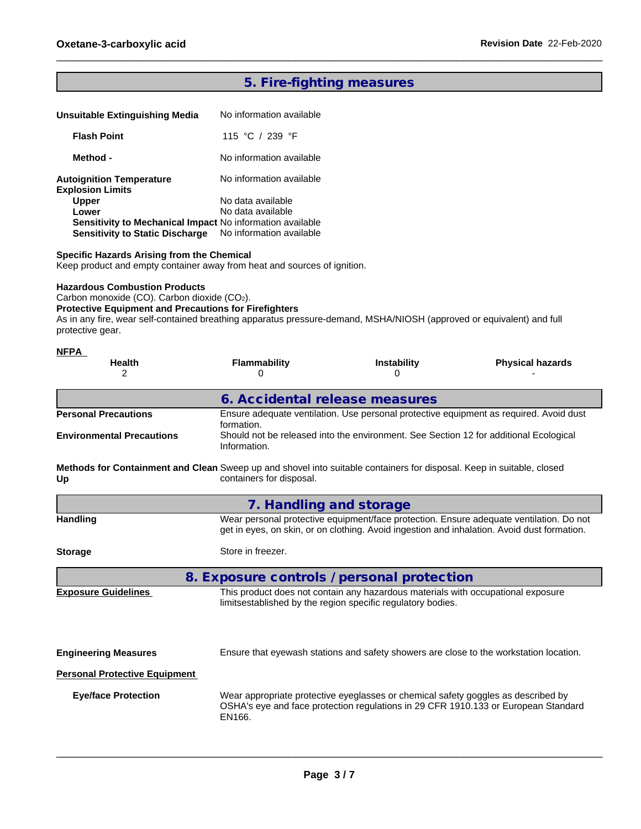## **5. Fire-fighting measures**

| Unsuitable Extinguishing Media                             | No information available |  |
|------------------------------------------------------------|--------------------------|--|
| <b>Flash Point</b>                                         | 115 °C / 239 °F          |  |
| Method -                                                   | No information available |  |
| <b>Autoignition Temperature</b><br><b>Explosion Limits</b> | No information available |  |
| <b>Upper</b>                                               | No data available        |  |
| Lower                                                      | No data available        |  |
| Sensitivity to Mechanical Impact No information available  |                          |  |
| <b>Sensitivity to Static Discharge</b>                     | No information available |  |

#### **Specific Hazards Arising from the Chemical**

Keep product and empty container away from heat and sources of ignition.

#### **Hazardous Combustion Products**

Carbon monoxide (CO). Carbon dioxide (CO2).

#### **Protective Equipment and Precautions for Firefighters**

As in any fire, wear self-contained breathing apparatus pressure-demand, MSHA/NIOSH (approved or equivalent) and full protective gear.

| <b>NFPA</b>                      | <b>Health</b><br>2                   | <b>Flammability</b><br>0                                                                                                                                 | <b>Instability</b><br>0                                                                                                                         | <b>Physical hazards</b>                                                                                                                                                                |
|----------------------------------|--------------------------------------|----------------------------------------------------------------------------------------------------------------------------------------------------------|-------------------------------------------------------------------------------------------------------------------------------------------------|----------------------------------------------------------------------------------------------------------------------------------------------------------------------------------------|
|                                  |                                      | 6. Accidental release measures                                                                                                                           |                                                                                                                                                 |                                                                                                                                                                                        |
|                                  | <b>Personal Precautions</b>          | formation.                                                                                                                                               |                                                                                                                                                 | Ensure adequate ventilation. Use personal protective equipment as required. Avoid dust                                                                                                 |
| <b>Environmental Precautions</b> |                                      | Information.                                                                                                                                             | Should not be released into the environment. See Section 12 for additional Ecological                                                           |                                                                                                                                                                                        |
| Up                               |                                      | <b>Methods for Containment and Clean</b> Sweep up and shovel into suitable containers for disposal. Keep in suitable, closed<br>containers for disposal. |                                                                                                                                                 |                                                                                                                                                                                        |
|                                  |                                      | 7. Handling and storage                                                                                                                                  |                                                                                                                                                 |                                                                                                                                                                                        |
| Handling                         |                                      |                                                                                                                                                          |                                                                                                                                                 | Wear personal protective equipment/face protection. Ensure adequate ventilation. Do not<br>get in eyes, on skin, or on clothing. Avoid ingestion and inhalation. Avoid dust formation. |
| <b>Storage</b>                   |                                      | Store in freezer.                                                                                                                                        |                                                                                                                                                 |                                                                                                                                                                                        |
|                                  |                                      | 8. Exposure controls / personal protection                                                                                                               |                                                                                                                                                 |                                                                                                                                                                                        |
|                                  | <b>Exposure Guidelines</b>           |                                                                                                                                                          | This product does not contain any hazardous materials with occupational exposure<br>limitsestablished by the region specific regulatory bodies. |                                                                                                                                                                                        |
|                                  | <b>Engineering Measures</b>          |                                                                                                                                                          |                                                                                                                                                 | Ensure that eyewash stations and safety showers are close to the workstation location.                                                                                                 |
|                                  | <b>Personal Protective Equipment</b> |                                                                                                                                                          |                                                                                                                                                 |                                                                                                                                                                                        |
|                                  | <b>Eye/face Protection</b>           | EN166.                                                                                                                                                   | Wear appropriate protective eyeglasses or chemical safety goggles as described by                                                               | OSHA's eye and face protection regulations in 29 CFR 1910.133 or European Standard                                                                                                     |
|                                  |                                      |                                                                                                                                                          |                                                                                                                                                 |                                                                                                                                                                                        |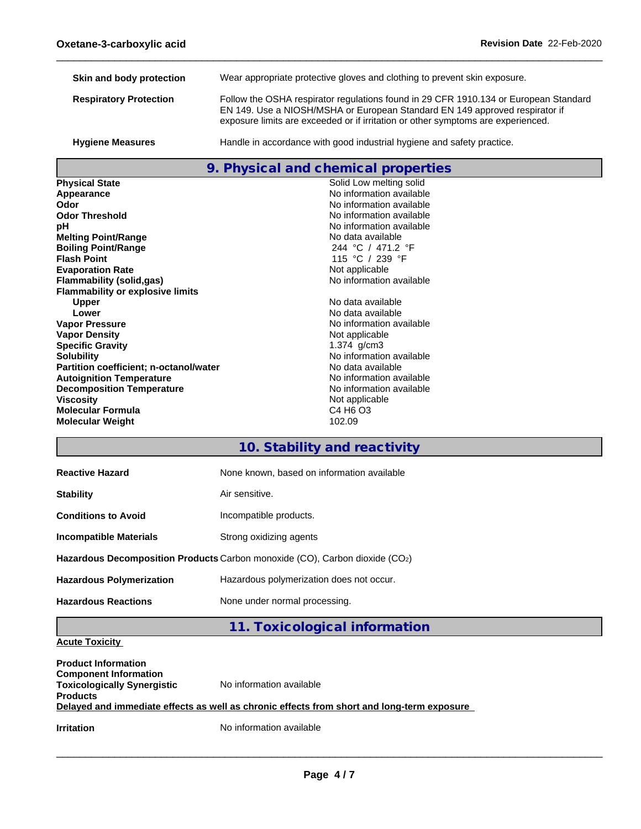| Skin and body protection      | Wear appropriate protective gloves and clothing to prevent skin exposure.                                                                                                                                                                               |
|-------------------------------|---------------------------------------------------------------------------------------------------------------------------------------------------------------------------------------------------------------------------------------------------------|
| <b>Respiratory Protection</b> | Follow the OSHA respirator regulations found in 29 CFR 1910.134 or European Standard<br>EN 149. Use a NIOSH/MSHA or European Standard EN 149 approved respirator if<br>exposure limits are exceeded or if irritation or other symptoms are experienced. |
| <b>Hygiene Measures</b>       | Handle in accordance with good industrial hygiene and safety practice.                                                                                                                                                                                  |

## **9. Physical and chemical properties**

| <b>Physical State</b>                         | Solid Low melting solid          |
|-----------------------------------------------|----------------------------------|
| Appearance                                    | No information available         |
| Odor                                          | No information available         |
| <b>Odor Threshold</b>                         | No information available         |
| рH                                            | No information available         |
| <b>Melting Point/Range</b>                    | No data available                |
| <b>Boiling Point/Range</b>                    | 244 °C / 471.2 °F                |
| <b>Flash Point</b>                            | 115 °C / 239 °F                  |
| <b>Evaporation Rate</b>                       | Not applicable                   |
| Flammability (solid,gas)                      | No information available         |
| <b>Flammability or explosive limits</b>       |                                  |
| <b>Upper</b>                                  | No data available                |
| Lower                                         | No data available                |
| <b>Vapor Pressure</b>                         | No information available         |
| <b>Vapor Density</b>                          | Not applicable                   |
| <b>Specific Gravity</b>                       | 1.374 $q/cm3$                    |
| <b>Solubility</b>                             | No information available         |
| <b>Partition coefficient; n-octanol/water</b> | No data available                |
| <b>Autoignition Temperature</b>               | No information available         |
| <b>Decomposition Temperature</b>              | No information available         |
| <b>Viscosity</b>                              | Not applicable                   |
| <b>Molecular Formula</b>                      | C4 H <sub>6</sub> O <sub>3</sub> |
| <b>Molecular Weight</b>                       | 102.09                           |

## **10. Stability and reactivity**

| <b>Reactive Hazard</b>          | None known, based on information available                                  |
|---------------------------------|-----------------------------------------------------------------------------|
| <b>Stability</b>                | Air sensitive.                                                              |
| <b>Conditions to Avoid</b>      | Incompatible products.                                                      |
| <b>Incompatible Materials</b>   | Strong oxidizing agents                                                     |
|                                 | Hazardous Decomposition Products Carbon monoxide (CO), Carbon dioxide (CO2) |
| <b>Hazardous Polymerization</b> | Hazardous polymerization does not occur.                                    |
| <b>Hazardous Reactions</b>      | None under normal processing.                                               |

**11. Toxicological information**

### **Acute Toxicity**

| <b>Product Information</b><br><b>Component Information</b><br><b>Toxicologically Synergistic</b><br><b>Products</b> | No information available                                                                   |
|---------------------------------------------------------------------------------------------------------------------|--------------------------------------------------------------------------------------------|
|                                                                                                                     | Delayed and immediate effects as well as chronic effects from short and long-term exposure |
| <b>Irritation</b>                                                                                                   | No information available                                                                   |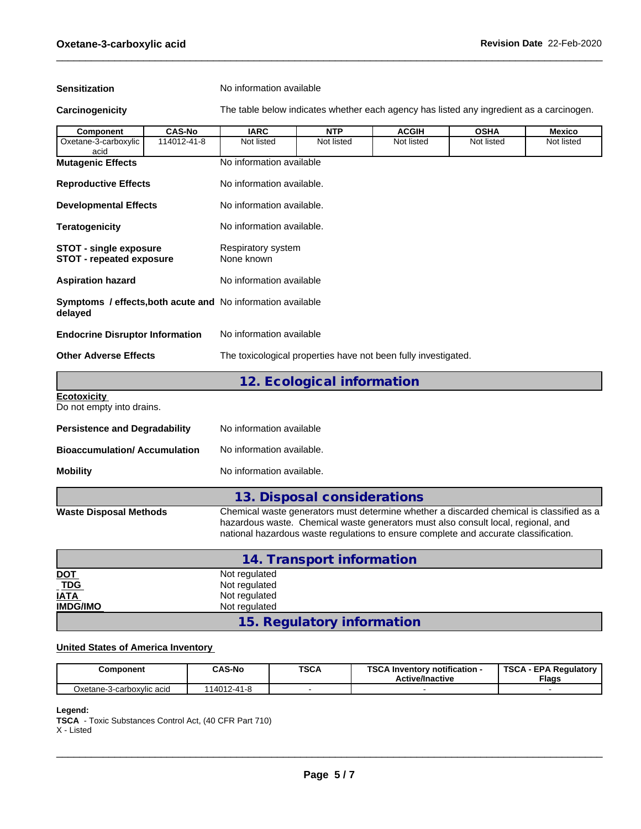**Sensitization** No information available

**Carcinogenicity** The table below indicateswhether each agency has listed any ingredient as a carcinogen.

| <b>Component</b>                                                 | <b>CAS-No</b> | <b>IARC</b>                                                        | <b>NTP</b>                 | <b>ACGIH</b> | <b>OSHA</b> | <b>Mexico</b> |  |  |
|------------------------------------------------------------------|---------------|--------------------------------------------------------------------|----------------------------|--------------|-------------|---------------|--|--|
| Oxetane-3-carboxylic<br>acid                                     | 114012-41-8   | Not listed                                                         | Not listed                 | Not listed   | Not listed  | Not listed    |  |  |
| <b>Mutagenic Effects</b>                                         |               | No information available                                           |                            |              |             |               |  |  |
| <b>Reproductive Effects</b>                                      |               | No information available.                                          |                            |              |             |               |  |  |
| <b>Developmental Effects</b>                                     |               | No information available.                                          |                            |              |             |               |  |  |
| <b>Teratogenicity</b>                                            |               | No information available.                                          |                            |              |             |               |  |  |
| <b>STOT - single exposure</b><br><b>STOT - repeated exposure</b> |               | Respiratory system<br>None known                                   |                            |              |             |               |  |  |
| <b>Aspiration hazard</b>                                         |               | No information available                                           |                            |              |             |               |  |  |
| delayed                                                          |               | <b>Symptoms / effects, both acute and No information available</b> |                            |              |             |               |  |  |
| <b>Endocrine Disruptor Information</b>                           |               | No information available                                           |                            |              |             |               |  |  |
| <b>Other Adverse Effects</b>                                     |               | The toxicological properties have not been fully investigated.     |                            |              |             |               |  |  |
|                                                                  |               |                                                                    | 12. Ecological information |              |             |               |  |  |
| <b>Ecotoxicity</b><br>Do not empty into drains.                  |               |                                                                    |                            |              |             |               |  |  |
| <b>Persistence and Degradability</b>                             |               | No information available                                           |                            |              |             |               |  |  |
| <b>Bioaccumulation/Accumulation</b>                              |               | No information available.                                          |                            |              |             |               |  |  |
| <b>Mobility</b>                                                  |               | No information available.                                          |                            |              |             |               |  |  |

| 13. Disposal considerations |  |
|-----------------------------|--|
|-----------------------------|--|

**Waste Disposal Methods** Chemical waste generators must determine whether a discarded chemical is classified as a hazardous waste. Chemical waste generators must also consult local, regional, and national hazardous waste regulations to ensure complete and accurate classification.

|                              | 14. Transport information  |
|------------------------------|----------------------------|
| <u>DOT</u>                   | Not regulated              |
| $\underline{\overline{TDG}}$ | Not regulated              |
| <b>IATA</b>                  | Not regulated              |
| <b>IMDG/IMO</b>              | Not regulated              |
|                              | 15. Regulatory information |

#### **United States of America Inventory**

| Component                 | <b>CAS-No</b> | <b>TSCA</b> | TOO AL<br>Inventory notification -<br>36.P<br><b>Active/Inactive</b> | TSCA<br><b>EPA Requiatory</b><br><b>Flags</b> |
|---------------------------|---------------|-------------|----------------------------------------------------------------------|-----------------------------------------------|
| Oxetane-3-carboxvlic acid | 114012-41-8   |             |                                                                      |                                               |

#### **Legend:**

**TSCA** - Toxic Substances Control Act, (40 CFR Part 710) X - Listed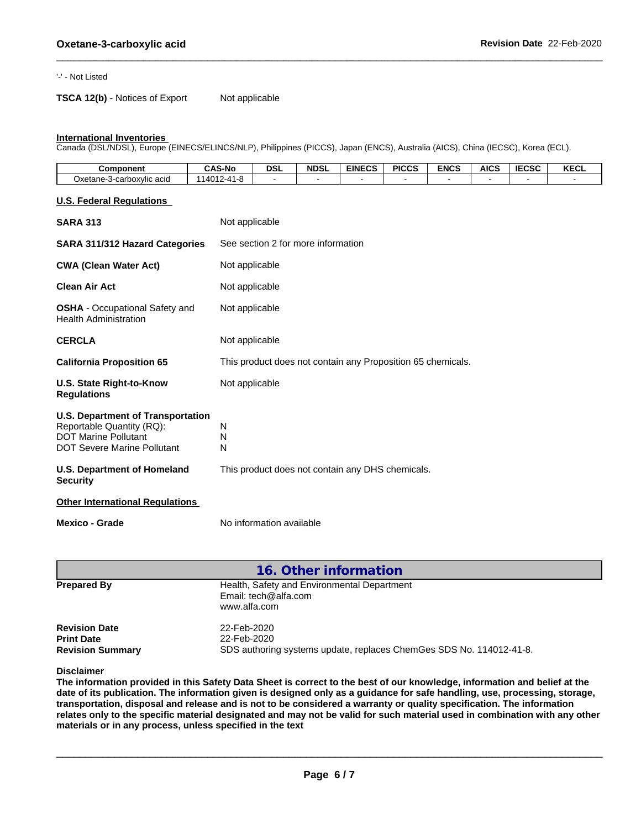#### '-' - Not Listed

**TSCA 12(b)** - Notices of Export Not applicable

#### **International Inventories**

Canada (DSL/NDSL), Europe (EINECS/ELINCS/NLP), Philippines (PICCS), Japan (ENCS), Australia (AICS), China (IECSC), Korea (ECL).

| <b>Component</b>          | <b>CAS-No</b>               | <b>DSL</b> | <b>NDSL</b> | <b>EINECS</b> | <b>PICCS</b> | <b>ENCS</b> | AICS | $I = C C C$<br>-95 | <b>KECL</b> |
|---------------------------|-----------------------------|------------|-------------|---------------|--------------|-------------|------|--------------------|-------------|
| Oxetane-3-carboxylic acid | $7 - 41 - 8$<br>114012<br>. |            |             |               |              |             |      |                    |             |

#### **U.S. Federal Regulations**

| <b>SARA 313</b>                                                                                                                            | Not applicable                                              |  |  |
|--------------------------------------------------------------------------------------------------------------------------------------------|-------------------------------------------------------------|--|--|
| <b>SARA 311/312 Hazard Categories</b>                                                                                                      | See section 2 for more information                          |  |  |
| <b>CWA (Clean Water Act)</b>                                                                                                               | Not applicable                                              |  |  |
| <b>Clean Air Act</b>                                                                                                                       | Not applicable                                              |  |  |
| <b>OSHA</b> - Occupational Safety and<br><b>Health Administration</b>                                                                      | Not applicable                                              |  |  |
| <b>CERCLA</b>                                                                                                                              | Not applicable                                              |  |  |
| <b>California Proposition 65</b>                                                                                                           | This product does not contain any Proposition 65 chemicals. |  |  |
| U.S. State Right-to-Know<br><b>Regulations</b>                                                                                             | Not applicable                                              |  |  |
| <b>U.S. Department of Transportation</b><br>Reportable Quantity (RQ):<br><b>DOT Marine Pollutant</b><br><b>DOT Severe Marine Pollutant</b> | N<br>N<br>N                                                 |  |  |
| <b>U.S. Department of Homeland</b><br><b>Security</b>                                                                                      | This product does not contain any DHS chemicals.            |  |  |
| <b>Other International Regulations</b>                                                                                                     |                                                             |  |  |
| <b>Mexico - Grade</b>                                                                                                                      | No information available                                    |  |  |

| 16. Other information                                                |                                                                                                   |  |  |  |  |
|----------------------------------------------------------------------|---------------------------------------------------------------------------------------------------|--|--|--|--|
| <b>Prepared By</b>                                                   | Health, Safety and Environmental Department<br>Email: tech@alfa.com<br>www.alfa.com               |  |  |  |  |
| <b>Revision Date</b><br><b>Print Date</b><br><b>Revision Summary</b> | 22-Feb-2020<br>22-Feb-2020<br>SDS authoring systems update, replaces ChemGes SDS No. 114012-41-8. |  |  |  |  |

**Disclaimer**

The information provided in this Safety Data Sheet is correct to the best of our knowledge, information and belief at the date of its publication. The information given is designed only as a guidance for safe handling, use, processing, storage, transportation, disposal and release and is not to be considered a warranty or quality specification. The information relates only to the specific material designated and may not be valid for such material used in combination with any other **materials or in any process,unless specified in the text**